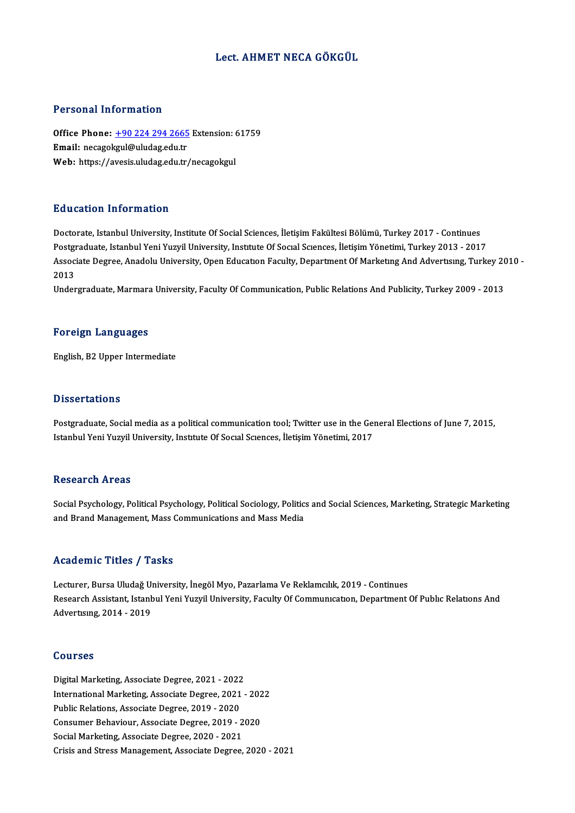## Lect. AHMET NECA GÖKGÜL

## Personal Information

Personal Information<br>Office Phone: <u>+90 224 294 2665</u> Extension: 61759<br>Email: necasokaul@uludes.edu.tr Processian information<br>Office Phone: <u>+90 224 294 2665</u><br>Email: necago[kgul@uludag.edu.tr](tel:+90 224 294 2665) Office Phone: <u>+90 224 294 2665</u> Extension: 6<br>Email: necagokgul@uludag.edu.tr<br>Web: https://avesis.uludag.edu.tr/necagokgul Web: https://avesis.uludag.edu.tr/necagokgul<br>Education Information

Doctorate, Istanbul University, Institute Of Social Sciences, İletişim Fakültesi Bölümü, Turkey 2017 - Continues Pu u cucron Timot Inucron<br>Doctorate, Istanbul University, Institute Of Social Sciences, İletişim Fakültesi Bölümü, Turkey 2017 - Continues<br>Postgraduate, Istanbul Yeni Yuzyil University, Institute Of Social Sciences, İletiş Doctorate, Istanbul University, Institute Of Social Sciences, İletişim Fakültesi Bölümü, Turkey 2017 - Continues<br>Postgraduate, Istanbul Yeni Yuzyil University, Institute Of Social Sciences, İletişim Yönetimi, Turkey 2013 -Postgi<br>Assoc:<br>2013<br>Under Associate Degree, Anadolu University, Open Education Faculty, Department Of Marketing And Advertising, Turkey 20<br>2013<br>Undergraduate, Marmara University, Faculty Of Communication, Public Relations And Publicity, Turkey 2009

Undergraduate, Marmara University, Faculty Of Communication, Public Relations And Publicity, Turkey 2009 - 2013<br>Foreign Languages

English,B2Upper Intermediate

## **Dissertations**

Dissertations<br>Postgraduate, Social media as a political communication tool; Twitter use in the General Elections of June 7, 2015,<br>Istanbul Yoni Yuguil University, Institute Of Social Sciences, Ilstisim Yönetimi, 2017 Bubber tatromo<br>Postgraduate, Social media as a political communication tool; Twitter use in the Ger<br>Istanbul Yeni Yuzyil University, Institute Of Social Sciences, İletişim Yönetimi, 2017 Istanbul Yeni Yuzyil University, Institute Of Social Sciences, İletişim Yönetimi, 2017<br>Research Areas

Research Areas<br>Social Psychology, Political Psychology, Political Sociology, Politics and Social Sciences, Marketing, Strategic Marketing<br>and Prand Managament, Mass Communications and Mass Modio rcebeur en 111 eus<br>Social Psychology, Political Psychology, Political Sociology, Politic:<br>and Brand Management, Mass Communications and Mass Media and Brand Management, Mass Communications and Mass Media<br>Academic Titles / Tasks

Academic Titles / Tasks<br>Lecturer, Bursa Uludağ University, İnegöl Myo, Pazarlama Ve Reklamcılık, 2019 - Continues<br>Besearsh Assistant, İstanbul Yoni Yugvil University, Fasulty Of Communisation, Denartment ( Research Assistant, Istanbul Yeni Yuzyil University, Faculty Of Communication, Department Of Public Relations And<br>Advertising, 2014 - 2019 Lecturer, Bursa Uludağ Uı<br>Research Assistant, Istant<br>Advertising, 2014 - 2019

### Courses

**Courses<br>Digital Marketing, Associate Degree, 2021 - 2022<br>International Marketing, Associate Degree, 2021** International Marketing, Associate Degree, 2021 - 2022<br>Public Relations, Associate Degree, 2019 - 2020 Digital Marketing, Associate Degree, 2021 - 2022<br>International Marketing, Associate Degree, 2021<br>Public Relations, Associate Degree, 2019 - 2020<br>Consumer Pehevieur, Associate Degree, 2019 - 2020 International Marketing, Associate Degree, 2021 - 202<br>Public Relations, Associate Degree, 2019 - 2020<br>Consumer Behaviour, Associate Degree, 2019 - 2020<br>Social Marketing, Associate Degree, 2020, 2021 Public Relations, Associate Degree, 2019 - 2020<br>Consumer Behaviour, Associate Degree, 2019 - 2<br>Social Marketing, Associate Degree, 2020 - 2021<br>Crisis and Strees Managament, Associate Degree, Social Marketing, Associate Degree, 2020 - 2021<br>Crisis and Stress Management, Associate Degree, 2020 - 2021